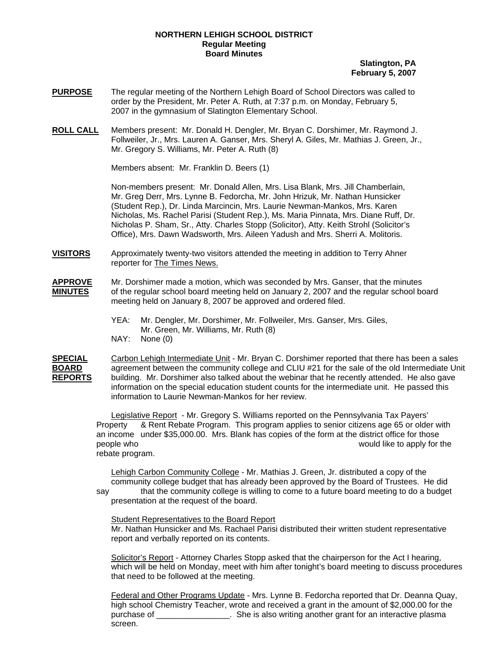## **NORTHERN LEHIGH SCHOOL DISTRICT Regular Meeting Board Minutes**

## **Slatington, PA February 5, 2007**

- **PURPOSE** The regular meeting of the Northern Lehigh Board of School Directors was called to order by the President, Mr. Peter A. Ruth, at 7:37 p.m. on Monday, February 5, 2007 in the gymnasium of Slatington Elementary School.
- **ROLL CALL** Members present: Mr. Donald H. Dengler, Mr. Bryan C. Dorshimer, Mr. Raymond J. Follweiler, Jr., Mrs. Lauren A. Ganser, Mrs. Sheryl A. Giles, Mr. Mathias J. Green, Jr., Mr. Gregory S. Williams, Mr. Peter A. Ruth (8)

Members absent: Mr. Franklin D. Beers (1)

Non-members present: Mr. Donald Allen, Mrs. Lisa Blank, Mrs. Jill Chamberlain, Mr. Greg Derr, Mrs. Lynne B. Fedorcha, Mr. John Hrizuk, Mr. Nathan Hunsicker (Student Rep.), Dr. Linda Marcincin, Mrs. Laurie Newman-Mankos, Mrs. Karen Nicholas, Ms. Rachel Parisi (Student Rep.), Ms. Maria Pinnata, Mrs. Diane Ruff, Dr. Nicholas P. Sham, Sr., Atty. Charles Stopp (Solicitor), Atty. Keith Strohl (Solicitor's Office), Mrs. Dawn Wadsworth, Mrs. Aileen Yadush and Mrs. Sherri A. Molitoris.

- **VISITORS** Approximately twenty-two visitors attended the meeting in addition to Terry Ahner reporter for The Times News.
- **APPROVE** Mr. Dorshimer made a motion, which was seconded by Mrs. Ganser, that the minutes **MINUTES** of the regular school board meeting held on January 2, 2007 and the regular school board meeting held on January 8, 2007 be approved and ordered filed.
	- YEA: Mr. Dengler, Mr. Dorshimer, Mr. Follweiler, Mrs. Ganser, Mrs. Giles, Mr. Green, Mr. Williams, Mr. Ruth (8) NAY: None (0)

**SPECIAL** Carbon Lehigh Intermediate Unit - Mr. Bryan C. Dorshimer reported that there has been a sales **BOARD** agreement between the community college and CLIU #21 for the sale of the old Intermediate Unit **REPORTS** building. Mr. Dorshimer also talked about the webinar that he recently attended. He also gave information on the special education student counts for the intermediate unit. He passed this information to Laurie Newman-Mankos for her review.

> Legislative Report - Mr. Gregory S. Williams reported on the Pennsylvania Tax Payers' Property & Rent Rebate Program. This program applies to senior citizens age 65 or older with an income under \$35,000.00. Mrs. Blank has copies of the form at the district office for those people who would like to apply for the rebate program.

> Lehigh Carbon Community College - Mr. Mathias J. Green, Jr. distributed a copy of the community college budget that has already been approved by the Board of Trustees. He did say that the community college is willing to come to a future board meeting to do a budget

presentation at the request of the board.

Student Representatives to the Board Report Mr. Nathan Hunsicker and Ms. Rachael Parisi distributed their written student representative report and verbally reported on its contents.

Solicitor's Report - Attorney Charles Stopp asked that the chairperson for the Act I hearing, which will be held on Monday, meet with him after tonight's board meeting to discuss procedures that need to be followed at the meeting.

Federal and Other Programs Update - Mrs. Lynne B. Fedorcha reported that Dr. Deanna Quay, high school Chemistry Teacher, wrote and received a grant in the amount of \$2,000.00 for the purchase of \_\_\_\_\_\_\_\_\_\_\_\_\_\_\_\_. She is also writing another grant for an interactive plasma screen.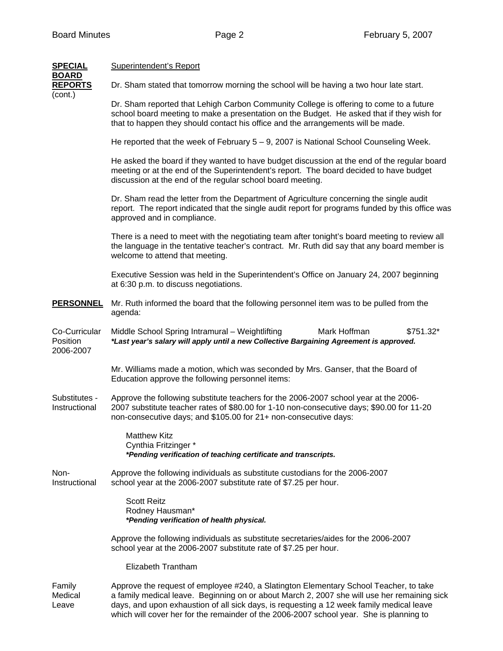| <b>SPECIAL</b>                            | <b>Superintendent's Report</b>                                                                                                                                                                                                                                                                                                                                              |
|-------------------------------------------|-----------------------------------------------------------------------------------------------------------------------------------------------------------------------------------------------------------------------------------------------------------------------------------------------------------------------------------------------------------------------------|
| <b>BOARD</b><br><b>REPORTS</b><br>(cont.) | Dr. Sham stated that tomorrow morning the school will be having a two hour late start.                                                                                                                                                                                                                                                                                      |
|                                           | Dr. Sham reported that Lehigh Carbon Community College is offering to come to a future<br>school board meeting to make a presentation on the Budget. He asked that if they wish for<br>that to happen they should contact his office and the arrangements will be made.                                                                                                     |
|                                           | He reported that the week of February 5 - 9, 2007 is National School Counseling Week.                                                                                                                                                                                                                                                                                       |
|                                           | He asked the board if they wanted to have budget discussion at the end of the regular board<br>meeting or at the end of the Superintendent's report. The board decided to have budget<br>discussion at the end of the regular school board meeting.                                                                                                                         |
|                                           | Dr. Sham read the letter from the Department of Agriculture concerning the single audit<br>report. The report indicated that the single audit report for programs funded by this office was<br>approved and in compliance.                                                                                                                                                  |
|                                           | There is a need to meet with the negotiating team after tonight's board meeting to review all<br>the language in the tentative teacher's contract. Mr. Ruth did say that any board member is<br>welcome to attend that meeting.                                                                                                                                             |
|                                           | Executive Session was held in the Superintendent's Office on January 24, 2007 beginning<br>at 6:30 p.m. to discuss negotiations.                                                                                                                                                                                                                                            |
| <b>PERSONNEL</b>                          | Mr. Ruth informed the board that the following personnel item was to be pulled from the<br>agenda:                                                                                                                                                                                                                                                                          |
| Co-Curricular<br>Position<br>2006-2007    | Mark Hoffman<br>Middle School Spring Intramural - Weightlifting<br>\$751.32*<br>*Last year's salary will apply until a new Collective Bargaining Agreement is approved.                                                                                                                                                                                                     |
|                                           | Mr. Williams made a motion, which was seconded by Mrs. Ganser, that the Board of<br>Education approve the following personnel items:                                                                                                                                                                                                                                        |
| Substitutes -<br>Instructional            | Approve the following substitute teachers for the 2006-2007 school year at the 2006-<br>2007 substitute teacher rates of \$80.00 for 1-10 non-consecutive days; \$90.00 for 11-20<br>non-consecutive days; and \$105.00 for 21+ non-consecutive days:                                                                                                                       |
|                                           | <b>Matthew Kitz</b><br>Cynthia Fritzinger *<br>*Pending verification of teaching certificate and transcripts.                                                                                                                                                                                                                                                               |
| Non-<br>Instructional                     | Approve the following individuals as substitute custodians for the 2006-2007<br>school year at the 2006-2007 substitute rate of \$7.25 per hour.                                                                                                                                                                                                                            |
|                                           | <b>Scott Reitz</b><br>Rodney Hausman*<br>*Pending verification of health physical.                                                                                                                                                                                                                                                                                          |
|                                           | Approve the following individuals as substitute secretaries/aides for the 2006-2007<br>school year at the 2006-2007 substitute rate of \$7.25 per hour.                                                                                                                                                                                                                     |
|                                           | Elizabeth Trantham                                                                                                                                                                                                                                                                                                                                                          |
| Family<br>Medical<br>Leave                | Approve the request of employee #240, a Slatington Elementary School Teacher, to take<br>a family medical leave. Beginning on or about March 2, 2007 she will use her remaining sick<br>days, and upon exhaustion of all sick days, is requesting a 12 week family medical leave<br>which will cover her for the remainder of the 2006-2007 school year. She is planning to |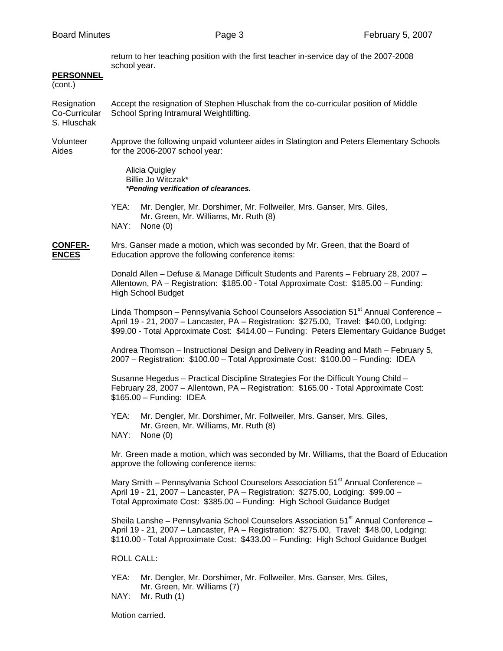return to her teaching position with the first teacher in-service day of the 2007-2008 school year.

## **PERSONNEL**

(cont.)

Resignation Accept the resignation of Stephen Hluschak from the co-curricular position of Middle Co-Curricular School Spring Intramural Weightlifting. S. Hluschak

Volunteer Approve the following unpaid volunteer aides in Slatington and Peters Elementary Schools Aides for the 2006-2007 school year:

> Alicia Quigley Billie Jo Witczak\* *\*Pending verification of clearances.*

 YEA: Mr. Dengler, Mr. Dorshimer, Mr. Follweiler, Mrs. Ganser, Mrs. Giles, Mr. Green, Mr. Williams, Mr. Ruth (8) NAY: None (0)

**CONFER-** Mrs. Ganser made a motion, which was seconded by Mr. Green, that the Board of **ENCES** Education approve the following conference items:

> Donald Allen – Defuse & Manage Difficult Students and Parents – February 28, 2007 – Allentown, PA – Registration: \$185.00 - Total Approximate Cost: \$185.00 – Funding: High School Budget

Linda Thompson – Pennsylvania School Counselors Association  $51<sup>st</sup>$  Annual Conference – April 19 - 21, 2007 – Lancaster, PA – Registration: \$275.00, Travel: \$40.00, Lodging: \$99.00 - Total Approximate Cost: \$414.00 – Funding: Peters Elementary Guidance Budget

 Andrea Thomson – Instructional Design and Delivery in Reading and Math – February 5, 2007 – Registration: \$100.00 – Total Approximate Cost: \$100.00 – Funding: IDEA

 Susanne Hegedus – Practical Discipline Strategies For the Difficult Young Child – February 28, 2007 – Allentown, PA – Registration: \$165.00 - Total Approximate Cost: \$165.00 – Funding: IDEA

 YEA: Mr. Dengler, Mr. Dorshimer, Mr. Follweiler, Mrs. Ganser, Mrs. Giles, Mr. Green, Mr. Williams, Mr. Ruth (8)

NAY: None (0)

 Mr. Green made a motion, which was seconded by Mr. Williams, that the Board of Education approve the following conference items:

Mary Smith – Pennsylvania School Counselors Association  $51<sup>st</sup>$  Annual Conference – April 19 - 21, 2007 – Lancaster, PA – Registration: \$275.00, Lodging: \$99.00 – Total Approximate Cost: \$385.00 – Funding: High School Guidance Budget

Sheila Lanshe – Pennsylvania School Counselors Association 51<sup>st</sup> Annual Conference – April 19 - 21, 2007 – Lancaster, PA – Registration: \$275.00, Travel: \$48.00, Lodging: \$110.00 - Total Approximate Cost: \$433.00 – Funding: High School Guidance Budget

ROLL CALL:

 YEA: Mr. Dengler, Mr. Dorshimer, Mr. Follweiler, Mrs. Ganser, Mrs. Giles, Mr. Green, Mr. Williams (7)

NAY: Mr. Ruth (1)

Motion carried.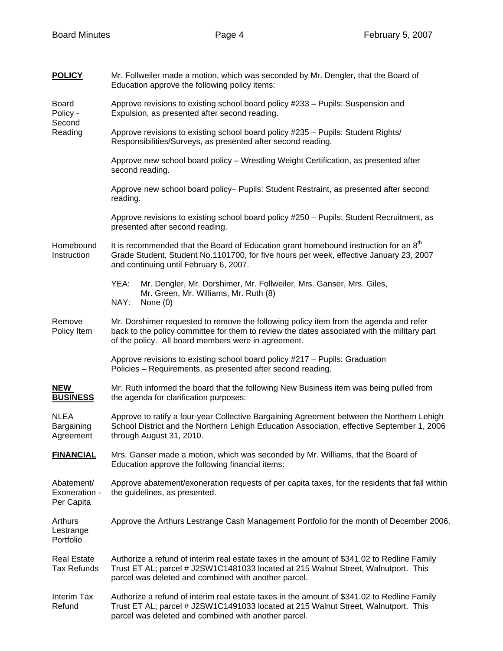| <b>POLICY</b>                                 | Mr. Follweiler made a motion, which was seconded by Mr. Dengler, that the Board of<br>Education approve the following policy items:                                                                                                         |
|-----------------------------------------------|---------------------------------------------------------------------------------------------------------------------------------------------------------------------------------------------------------------------------------------------|
| <b>Board</b><br>Policy -<br>Second<br>Reading | Approve revisions to existing school board policy #233 - Pupils: Suspension and<br>Expulsion, as presented after second reading.                                                                                                            |
|                                               | Approve revisions to existing school board policy #235 - Pupils: Student Rights/<br>Responsibilities/Surveys, as presented after second reading.                                                                                            |
|                                               | Approve new school board policy - Wrestling Weight Certification, as presented after<br>second reading.                                                                                                                                     |
|                                               | Approve new school board policy- Pupils: Student Restraint, as presented after second<br>reading.                                                                                                                                           |
|                                               | Approve revisions to existing school board policy #250 - Pupils: Student Recruitment, as<br>presented after second reading.                                                                                                                 |
| Homebound<br>Instruction                      | It is recommended that the Board of Education grant homebound instruction for an 8 <sup>th</sup><br>Grade Student, Student No.1101700, for five hours per week, effective January 23, 2007<br>and continuing until February 6, 2007.        |
|                                               | YEA:<br>Mr. Dengler, Mr. Dorshimer, Mr. Follweiler, Mrs. Ganser, Mrs. Giles,<br>Mr. Green, Mr. Williams, Mr. Ruth (8)                                                                                                                       |
|                                               | NAY:<br>None $(0)$                                                                                                                                                                                                                          |
| Remove<br>Policy Item                         | Mr. Dorshimer requested to remove the following policy item from the agenda and refer<br>back to the policy committee for them to review the dates associated with the military part<br>of the policy. All board members were in agreement. |
|                                               | Approve revisions to existing school board policy #217 - Pupils: Graduation<br>Policies - Requirements, as presented after second reading.                                                                                                  |
| <b>NEW</b><br><b>BUSINESS</b>                 | Mr. Ruth informed the board that the following New Business item was being pulled from<br>the agenda for clarification purposes:                                                                                                            |
| <b>NLEA</b><br>Bargaining<br>Agreement        | Approve to ratify a four-year Collective Bargaining Agreement between the Northern Lehigh<br>School District and the Northern Lehigh Education Association, effective September 1, 2006<br>through August 31, 2010.                         |
| <b>FINANCIAL</b>                              | Mrs. Ganser made a motion, which was seconded by Mr. Williams, that the Board of<br>Education approve the following financial items:                                                                                                        |
| Abatement/<br>Exoneration -<br>Per Capita     | Approve abatement/exoneration requests of per capita taxes, for the residents that fall within<br>the guidelines, as presented.                                                                                                             |
| Arthurs<br>Lestrange<br>Portfolio             | Approve the Arthurs Lestrange Cash Management Portfolio for the month of December 2006.                                                                                                                                                     |
| <b>Real Estate</b><br><b>Tax Refunds</b>      | Authorize a refund of interim real estate taxes in the amount of \$341.02 to Redline Family<br>Trust ET AL; parcel # J2SW1C1481033 located at 215 Walnut Street, Walnutport. This<br>parcel was deleted and combined with another parcel.   |
| <b>Interim Tax</b><br>Refund                  | Authorize a refund of interim real estate taxes in the amount of \$341.02 to Redline Family<br>Trust ET AL; parcel # J2SW1C1491033 located at 215 Walnut Street, Walnutport. This<br>parcel was deleted and combined with another parcel.   |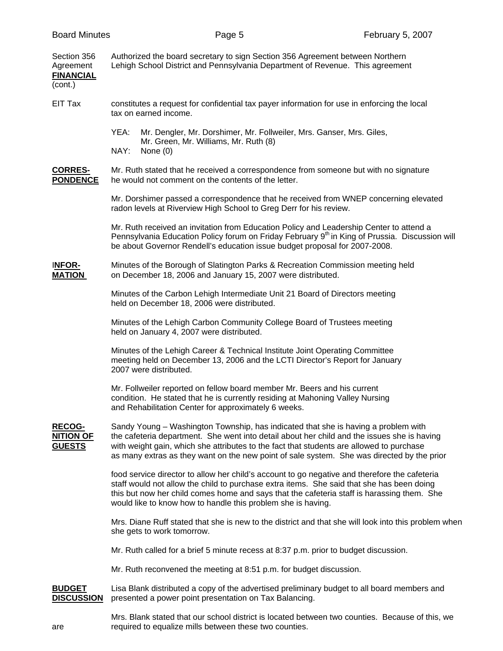| Section 356<br>Agreement<br><b>FINANCIAL</b><br>(cont.) | Authorized the board secretary to sign Section 356 Agreement between Northern<br>Lehigh School District and Pennsylvania Department of Revenue. This agreement                                                                                                                                                                                                              |
|---------------------------------------------------------|-----------------------------------------------------------------------------------------------------------------------------------------------------------------------------------------------------------------------------------------------------------------------------------------------------------------------------------------------------------------------------|
| EIT Tax                                                 | constitutes a request for confidential tax payer information for use in enforcing the local<br>tax on earned income.                                                                                                                                                                                                                                                        |
|                                                         | YEA:<br>Mr. Dengler, Mr. Dorshimer, Mr. Follweiler, Mrs. Ganser, Mrs. Giles,<br>Mr. Green, Mr. Williams, Mr. Ruth (8)<br>NAY:<br>None $(0)$                                                                                                                                                                                                                                 |
| <b>CORRES-</b><br><b>PONDENCE</b>                       | Mr. Ruth stated that he received a correspondence from someone but with no signature<br>he would not comment on the contents of the letter.                                                                                                                                                                                                                                 |
|                                                         | Mr. Dorshimer passed a correspondence that he received from WNEP concerning elevated<br>radon levels at Riverview High School to Greg Derr for his review.                                                                                                                                                                                                                  |
|                                                         | Mr. Ruth received an invitation from Education Policy and Leadership Center to attend a<br>Pennsylvania Education Policy forum on Friday February 9 <sup>th</sup> in King of Prussia. Discussion will<br>be about Governor Rendell's education issue budget proposal for 2007-2008.                                                                                         |
| <b>INFOR-</b><br><b>MATION</b>                          | Minutes of the Borough of Slatington Parks & Recreation Commission meeting held<br>on December 18, 2006 and January 15, 2007 were distributed.                                                                                                                                                                                                                              |
|                                                         | Minutes of the Carbon Lehigh Intermediate Unit 21 Board of Directors meeting<br>held on December 18, 2006 were distributed.                                                                                                                                                                                                                                                 |
|                                                         | Minutes of the Lehigh Carbon Community College Board of Trustees meeting<br>held on January 4, 2007 were distributed.                                                                                                                                                                                                                                                       |
|                                                         | Minutes of the Lehigh Career & Technical Institute Joint Operating Committee<br>meeting held on December 13, 2006 and the LCTI Director's Report for January<br>2007 were distributed.                                                                                                                                                                                      |
|                                                         | Mr. Follweiler reported on fellow board member Mr. Beers and his current<br>condition. He stated that he is currently residing at Mahoning Valley Nursing<br>and Rehabilitation Center for approximately 6 weeks.                                                                                                                                                           |
| <b>RECOG-</b><br><b>NITION OF</b><br><b>GUESTS</b>      | Sandy Young - Washington Township, has indicated that she is having a problem with<br>the cafeteria department. She went into detail about her child and the issues she is having<br>with weight gain, which she attributes to the fact that students are allowed to purchase<br>as many extras as they want on the new point of sale system. She was directed by the prior |
|                                                         | food service director to allow her child's account to go negative and therefore the cafeteria<br>staff would not allow the child to purchase extra items. She said that she has been doing<br>this but now her child comes home and says that the cafeteria staff is harassing them. She<br>would like to know how to handle this problem she is having.                    |
|                                                         | Mrs. Diane Ruff stated that she is new to the district and that she will look into this problem when<br>she gets to work tomorrow.                                                                                                                                                                                                                                          |
|                                                         | Mr. Ruth called for a brief 5 minute recess at 8:37 p.m. prior to budget discussion.                                                                                                                                                                                                                                                                                        |
|                                                         | Mr. Ruth reconvened the meeting at 8:51 p.m. for budget discussion.                                                                                                                                                                                                                                                                                                         |
| <b>BUDGET</b><br><b>DISCUSSION</b>                      | Lisa Blank distributed a copy of the advertised preliminary budget to all board members and<br>presented a power point presentation on Tax Balancing.                                                                                                                                                                                                                       |
| are                                                     | Mrs. Blank stated that our school district is located between two counties. Because of this, we<br>required to equalize mills between these two counties.                                                                                                                                                                                                                   |